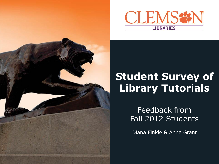



# **Student Survey of Library Tutorials**

Feedback from Fall 2012 Students

Diana Finkle & Anne Grant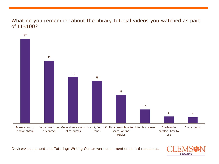#### What do you remember about the library tutorial videos you watched as part of LIB100?



Devices/ equipment and Tutoring/ Writing Center were each mentioned in 6 responses.

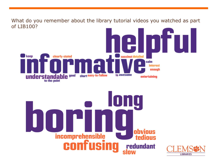What do you remember about the library tutorial videos you watched as part of LIB100?succinct detailed keep clearly-stated calm **interest** enough understandable sood short easy-to-follow to awesome entertaining Iq UI **obvious** incomprehensible<br>**CONTUSIN** tedious **redundant** slow **LIBRARIES**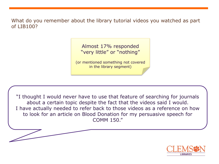What do you remember about the library tutorial videos you watched as part of LIB100?

> Almost 17% responded "very little" or "nothing"

(or mentioned something not covered in the library segment)

"I thought I would never have to use that feature of searching for journals about a certain topic despite the fact that the videos said I would. I have actually needed to refer back to those videos as a reference on how to look for an article on Blood Donation for my persuasive speech for COMM 150."

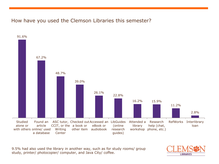## How have you used the Clemson Libraries this semester?



9.5% had also used the library in another way, such as for study rooms/ group study, printer/ photocopier/ computer, and Java City/ coffee.

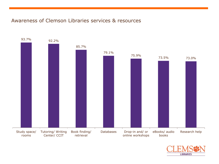#### Awareness of Clemson Libraries services & resources



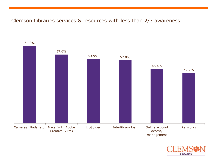#### Clemson Libraries services & resources with less than 2/3 awareness



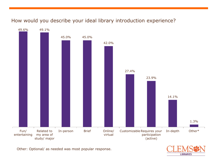## How would you describe your ideal library introduction experience?



Other: Optional/ as needed was most popular response.

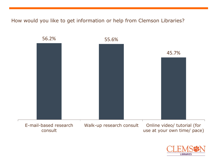How would you like to get information or help from Clemson Libraries?



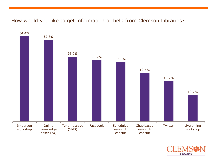## How would you like to get information or help from Clemson Libraries?



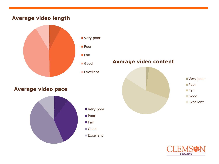## **Average video length**



#### **Average video pace**



- Very poor
- Poor
- 
- ■Good
- Excellent

# **Average video content**



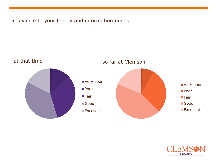Relevance to your library and information needs…



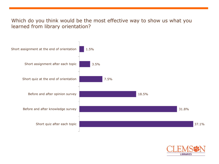#### Which do you think would be the most effective way to show us what you learned from library orientation?



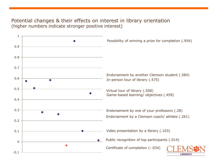#### Potential changes & their effects on interest in library orientation (higher numbers indicate stronger positive interest)

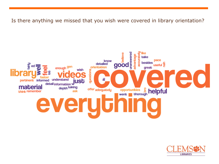Is there anything we missed that you wish were covered in library orientation?



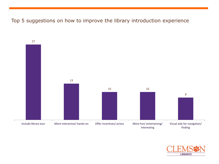## Top 5 suggestions on how to improve the library introduction experience



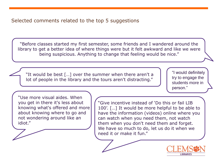# Selected comments related to the top 5 suggestions

"Before classes started my first semester, some friends and I wandered around the library to get a better idea of where things were but it felt awkward and like we were being suspicious. Anything to change that feeling would be nice."

"It would be best […] over the summer when there aren't a lot of people in the library and the tours aren't distracting."

"I would definitely try to engage the students more in person."

"Use more visual aides. When you get in there it's less about knowing what's offered and more about knowing where to go and not wondering around like an idiot."

"Give incentive instead of 'Do this or fail LIB 100'. […] It would be more helpful to be able to have the information (videos) online where you can watch when you need them, not watch them when you don't need them and forget. We have so much to do, let us do it when we need it or make it fun."